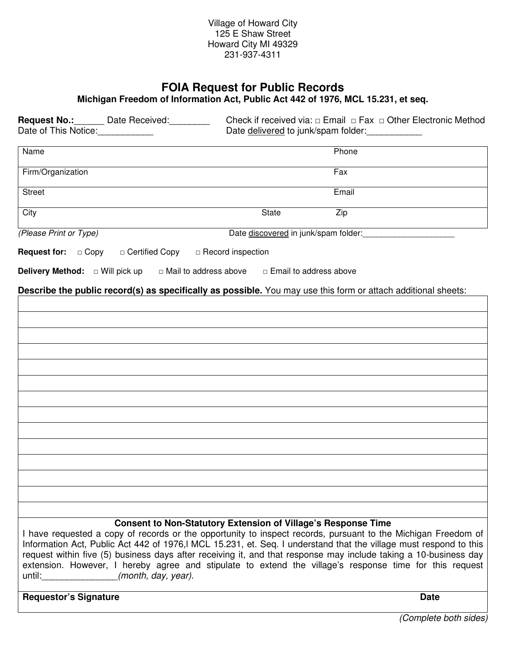# **FOIA Request for Public Records**

**Michigan Freedom of Information Act, Public Act 442 of 1976, MCL 15.231, et seq.** 

| Date of This Notice:                                                                                           | <b>Request No.:</b> Date Received: |                                                                           | Check if received via: $\Box$ Email $\Box$ Fax $\Box$ Other Electronic Method<br>Date delivered to junk/spam folder:                                                                                                                                                                                                                                                                                                                                             |  |
|----------------------------------------------------------------------------------------------------------------|------------------------------------|---------------------------------------------------------------------------|------------------------------------------------------------------------------------------------------------------------------------------------------------------------------------------------------------------------------------------------------------------------------------------------------------------------------------------------------------------------------------------------------------------------------------------------------------------|--|
| Name                                                                                                           |                                    |                                                                           | Phone                                                                                                                                                                                                                                                                                                                                                                                                                                                            |  |
| Firm/Organization                                                                                              |                                    |                                                                           | Fax                                                                                                                                                                                                                                                                                                                                                                                                                                                              |  |
| <b>Street</b>                                                                                                  |                                    |                                                                           | Email                                                                                                                                                                                                                                                                                                                                                                                                                                                            |  |
| City                                                                                                           |                                    | State                                                                     | Zip                                                                                                                                                                                                                                                                                                                                                                                                                                                              |  |
| (Please Print or Type)                                                                                         |                                    | Date discovered in junk/spam folder: Date discovered in junk/spam folder: |                                                                                                                                                                                                                                                                                                                                                                                                                                                                  |  |
| <b>Request for:</b> □ Copy                                                                                     | □ Certified Copy                   | $\Box$ Record inspection                                                  |                                                                                                                                                                                                                                                                                                                                                                                                                                                                  |  |
| <b>Delivery Method:</b> □ Will pick up                                                                         | □ Mail to address above            | □ Email to address above                                                  |                                                                                                                                                                                                                                                                                                                                                                                                                                                                  |  |
|                                                                                                                |                                    |                                                                           | Describe the public record(s) as specifically as possible. You may use this form or attach additional sheets:                                                                                                                                                                                                                                                                                                                                                    |  |
|                                                                                                                |                                    |                                                                           |                                                                                                                                                                                                                                                                                                                                                                                                                                                                  |  |
|                                                                                                                |                                    |                                                                           |                                                                                                                                                                                                                                                                                                                                                                                                                                                                  |  |
|                                                                                                                |                                    |                                                                           |                                                                                                                                                                                                                                                                                                                                                                                                                                                                  |  |
|                                                                                                                |                                    |                                                                           |                                                                                                                                                                                                                                                                                                                                                                                                                                                                  |  |
|                                                                                                                |                                    |                                                                           |                                                                                                                                                                                                                                                                                                                                                                                                                                                                  |  |
|                                                                                                                |                                    |                                                                           |                                                                                                                                                                                                                                                                                                                                                                                                                                                                  |  |
|                                                                                                                |                                    |                                                                           |                                                                                                                                                                                                                                                                                                                                                                                                                                                                  |  |
|                                                                                                                |                                    |                                                                           |                                                                                                                                                                                                                                                                                                                                                                                                                                                                  |  |
|                                                                                                                |                                    |                                                                           |                                                                                                                                                                                                                                                                                                                                                                                                                                                                  |  |
|                                                                                                                |                                    |                                                                           |                                                                                                                                                                                                                                                                                                                                                                                                                                                                  |  |
|                                                                                                                |                                    |                                                                           |                                                                                                                                                                                                                                                                                                                                                                                                                                                                  |  |
|                                                                                                                |                                    |                                                                           |                                                                                                                                                                                                                                                                                                                                                                                                                                                                  |  |
|                                                                                                                |                                    |                                                                           |                                                                                                                                                                                                                                                                                                                                                                                                                                                                  |  |
|                                                                                                                |                                    |                                                                           |                                                                                                                                                                                                                                                                                                                                                                                                                                                                  |  |
| until: and a series of the series of the series of the series of the series of the series of the series of the | (month, day, year).                | <b>Consent to Non-Statutory Extension of Village's Response Time</b>      | I have requested a copy of records or the opportunity to inspect records, pursuant to the Michigan Freedom of<br>Information Act, Public Act 442 of 1976, MCL 15.231, et. Seq. I understand that the village must respond to this<br>request within five (5) business days after receiving it, and that response may include taking a 10-business day<br>extension. However, I hereby agree and stipulate to extend the village's response time for this request |  |

## **Requestor's Signature Date**

(Complete both sides)